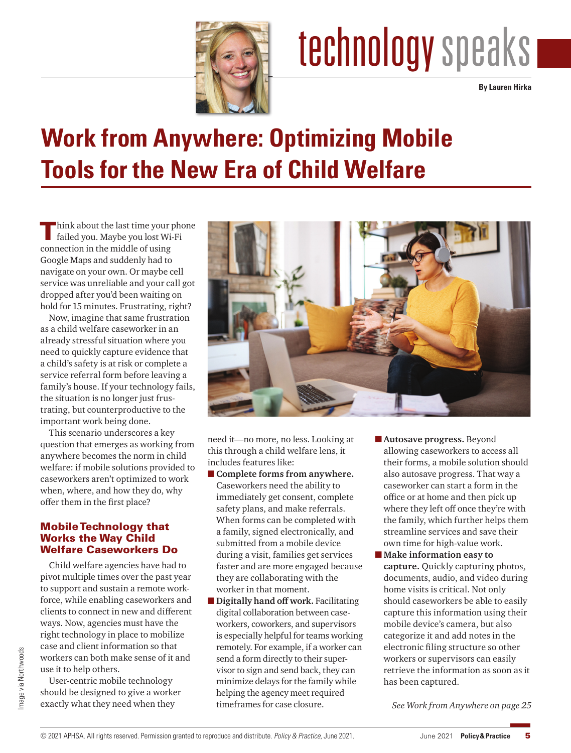

# technology speaks

**By Lauren Hirka**

### **Work from Anywhere: Optimizing Mobile Tools for the New Era of Child Welfare**

Think about the last time your phone failed you. Maybe you lost Wi-Fi connection in the middle of using Google Maps and suddenly had to navigate on your own. Or maybe cell service was unreliable and your call got dropped after you'd been waiting on hold for 15 minutes. Frustrating, right?

Now, imagine that same frustration as a child welfare caseworker in an already stressful situation where you need to quickly capture evidence that a child's safety is at risk or complete a service referral form before leaving a family's house. If your technology fails, the situation is no longer just frustrating, but counterproductive to the important work being done.

This scenario underscores a key question that emerges as working from anywhere becomes the norm in child welfare: if mobile solutions provided to caseworkers aren't optimized to work when, where, and how they do, why offer them in the first place?

#### Mobile Technology that Works the Way Child Welfare Caseworkers Do

Child welfare agencies have had to pivot multiple times over the past year to support and sustain a remote workforce, while enabling caseworkers and clients to connect in new and different ways. Now, agencies must have the right technology in place to mobilize case and client information so that workers can both make sense of it and use it to help others.

User-centric mobile technology should be designed to give a worker exactly what they need when they



need it—no more, no less. Looking at this through a child welfare lens, it includes features like:

- **Complete forms from anywhere.** Caseworkers need the ability to immediately get consent, complete safety plans, and make referrals. When forms can be completed with a family, signed electronically, and submitted from a mobile device during a visit, families get services faster and are more engaged because they are collaborating with the worker in that moment.
- **Digitally hand off work.** Facilitating digital collaboration between caseworkers, coworkers, and supervisors is especially helpful for teams working remotely. For example, if a worker can send a form directly to their supervisor to sign and send back, they can minimize delays for the family while helping the agency meet required timeframes for case closure.
- ■**Autosave progress.** Beyond allowing caseworkers to access all their forms, a mobile solution should also autosave progress. That way a caseworker can start a form in the office or at home and then pick up where they left off once they're with the family, which further helps them streamline services and save their own time for high-value work.
- Make information easy to **capture.** Quickly capturing photos, documents, audio, and video during home visits is critical. Not only should caseworkers be able to easily capture this information using their mobile device's camera, but also categorize it and add notes in the electronic filing structure so other workers or supervisors can easily retrieve the information as soon as it has been captured.

*See Work from Anywhere on page 25*